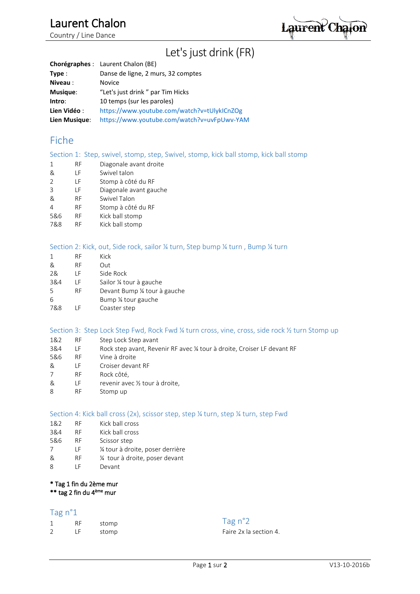# Laurent Chalon

Country / Line Dance

Laurent Chaion

# Let's just drink (FR)

|               | <b>Chorégraphes</b> : Laurent Chalon (BE)   |
|---------------|---------------------------------------------|
| Type:         | Danse de ligne, 2 murs, 32 comptes          |
| Niveau:       | <b>Novice</b>                               |
| Musique:      | "Let's just drink" par Tim Hicks            |
| Intro:        | 10 temps (sur les paroles)                  |
| Lien Vidéo:   | https://www.youtube.com/watch?v=tUlykICnZOg |
| Lien Musique: | https://www.youtube.com/watch?v=uvFpUwv-YAM |

### Fiche

### Section 1: Step, swivel, stomp, step, Swivel, stomp, kick ball stomp, kick ball stomp

- 1 RF Diagonale avant droite
- & LF Swivel talon<br>2 LF Stomp à côte
- 2 LF Stomp à côté du RF
- 3 LF Diagonale avant gauche
- & RF Swivel Talon
- 4 RF Stomp à côté du RF
- 5&6 RF Kick ball stomp
- 7&8 RF Kick ball stomp

### Section 2: Kick, out, Side rock, sailor ¼ turn, Step bump ¼ turn , Bump ¼ turn

- 1 RF Kick & RF Out 2& LF Side Rock 3&4 LF Sailor ¼ tour à gauche 5 RF Devant Bump ¼ tour à gauche 6 Bump ¼ tour gauche
- 7&8 LF Coaster step

### Section 3: Step Lock Step Fwd, Rock Fwd ¼ turn cross, vine, cross, side rock ½ turn Stomp up

- 1&2 RF Step Lock Step avant
- 3&4 LF Rock step avant, Revenir RF avec ¼ tour à droite, Croiser LF devant RF
- 5&6 RF Vine à droite
- & LF Croiser devant RF
- 7 RF Rock côté,
- & LF revenir avec ½ tour à droite,
- 8 RF Stomp up

### Section 4: Kick ball cross (2x), scissor step, step ¼ turn, step ¼ turn, step Fwd

- 1&2 RF Kick ball cross
- 3&4 RF Kick ball cross
- 5&6 RF Scissor step
- 7 LF ¼ tour à droite, poser derrière
- & RF ¼ tour à droite, poser devant
- 8 LF Devant

### \* Tag 1 fin du 2ème mur

\*\* tag 2 fin du 4ème mur

### Tag n°1

| $\mathbf{1}$   | RF | stomp |
|----------------|----|-------|
| $\overline{2}$ | ΙF | stomp |

### Tag n°2

Faire 2x la section 4.